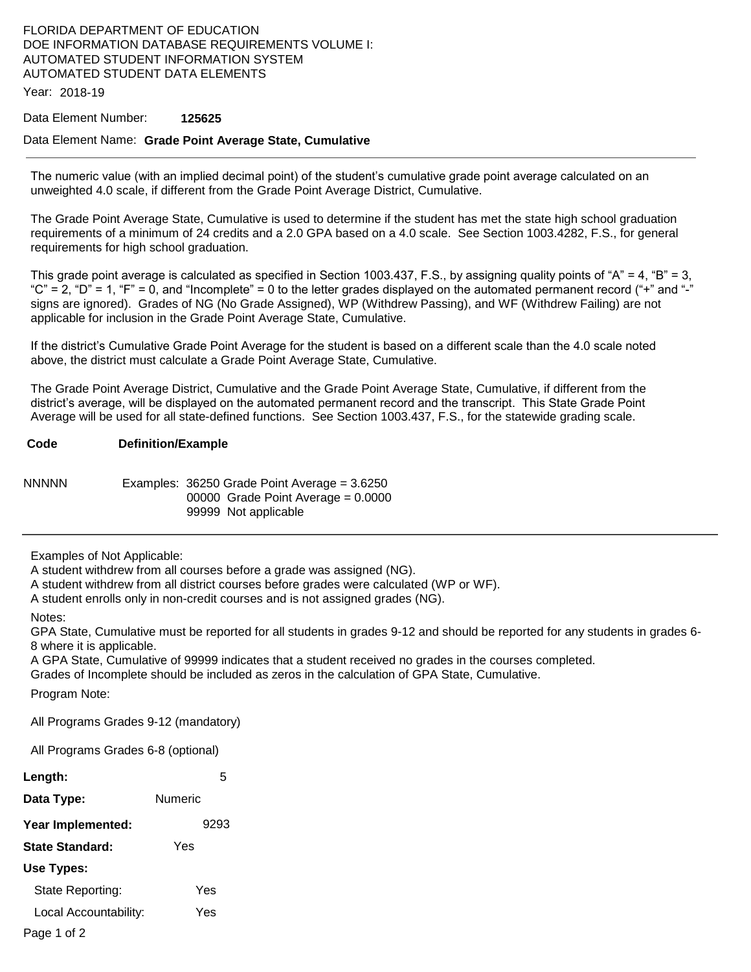# FLORIDA DEPARTMENT OF EDUCATION DOE INFORMATION DATABASE REQUIREMENTS VOLUME I: AUTOMATED STUDENT INFORMATION SYSTEM AUTOMATED STUDENT DATA ELEMENTS

Year: 2018-19

## Data Element Number: **125625**

## Data Element Name: **Grade Point Average State, Cumulative**

The numeric value (with an implied decimal point) of the student's cumulative grade point average calculated on an unweighted 4.0 scale, if different from the Grade Point Average District, Cumulative.

The Grade Point Average State, Cumulative is used to determine if the student has met the state high school graduation requirements of a minimum of 24 credits and a 2.0 GPA based on a 4.0 scale. See Section 1003.4282, F.S., for general requirements for high school graduation.

This grade point average is calculated as specified in Section 1003.437, F.S., by assigning quality points of "A" = 4, "B" = 3, "C" = 2, "D" = 1, "F" = 0, and "Incomplete" = 0 to the letter grades displayed on the automated permanent record ("+" and "-" signs are ignored). Grades of NG (No Grade Assigned), WP (Withdrew Passing), and WF (Withdrew Failing) are not applicable for inclusion in the Grade Point Average State, Cumulative.

If the district's Cumulative Grade Point Average for the student is based on a different scale than the 4.0 scale noted above, the district must calculate a Grade Point Average State, Cumulative.

The Grade Point Average District, Cumulative and the Grade Point Average State, Cumulative, if different from the district's average, will be displayed on the automated permanent record and the transcript. This State Grade Point Average will be used for all state-defined functions. See Section 1003.437, F.S., for the statewide grading scale.

#### **Code Definition/Example**

NNNNN Examples: 36250 Grade Point Average = 3.6250 00000 Grade Point Average = 0.0000 99999 Not applicable

Examples of Not Applicable:

A student withdrew from all courses before a grade was assigned (NG).

A student withdrew from all district courses before grades were calculated (WP or WF).

A student enrolls only in non-credit courses and is not assigned grades (NG).

### Notes:

GPA State, Cumulative must be reported for all students in grades 9-12 and should be reported for any students in grades 6- 8 where it is applicable.

A GPA State, Cumulative of 99999 indicates that a student received no grades in the courses completed.

Grades of Incomplete should be included as zeros in the calculation of GPA State, Cumulative.

Program Note:

All Programs Grades 9-12 (mandatory)

All Programs Grades 6-8 (optional)

| Length:               | 5       |  |
|-----------------------|---------|--|
| Data Type:            | Numeric |  |
| Year Implemented:     | 9293    |  |
| State Standard:       | Yes     |  |
| Use Types:            |         |  |
| State Reporting:      | Yes     |  |
| Local Accountability: | Yes     |  |
|                       |         |  |